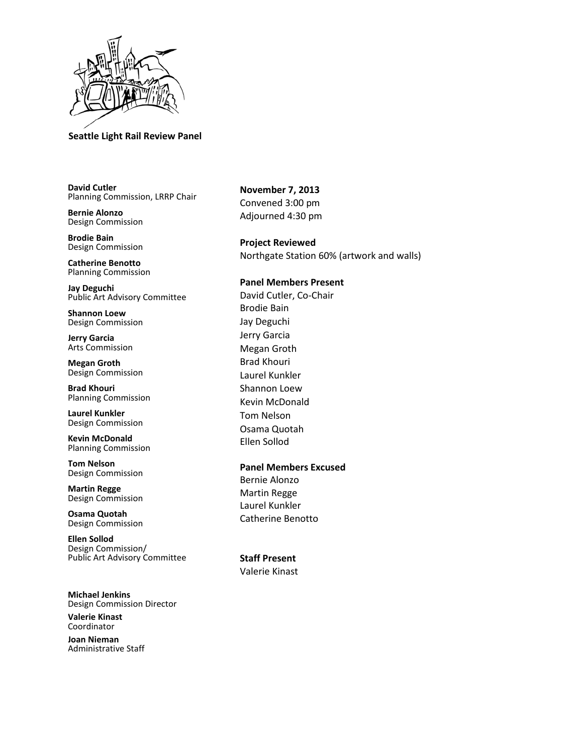

# **Seattle Light Rail Review Panel**

**David Cutler** Planning Commission, LRRP Chair

**Bernie Alonzo** Design Commission

**Brodie Bain** Design Commission

**Catherine Benotto** Planning Commission

**Jay Deguchi** Public Art Advisory Committee

**Shannon Loew** Design Commission

**Jerry Garcia** Arts Commission

**Megan Groth** Design Commission

**Brad Khouri** Planning Commission

**Laurel Kunkler** Design Commission

**Kevin McDonald** Planning Commission

**Tom Nelson** Design Commission

**Martin Regge** Design Commission

**Osama Quotah** Design Commission

**Ellen Sollod** Design Commission/ Public Art Advisory Committee

**Michael Jenkins** Design Commission Director

**Valerie Kinast** Coordinator

**Joan Nieman** Administrative Staff

**November 7, 2013** Convened 3:00 pm Adjourned 4:30 pm

**Project Reviewed**  Northgate Station 60% (artwork and walls)

## **Panel Members Present**

David Cutler, Co-Chair Brodie Bain Jay Deguchi Jerry Garcia Megan Groth Brad Khouri Laurel Kunkler Shannon Loew Kevin McDonald Tom Nelson Osama Quotah Ellen Sollod

# **Panel Members Excused**

Bernie Alonzo Martin Regge Laurel Kunkler Catherine Benotto

**Staff Present** Valerie Kinast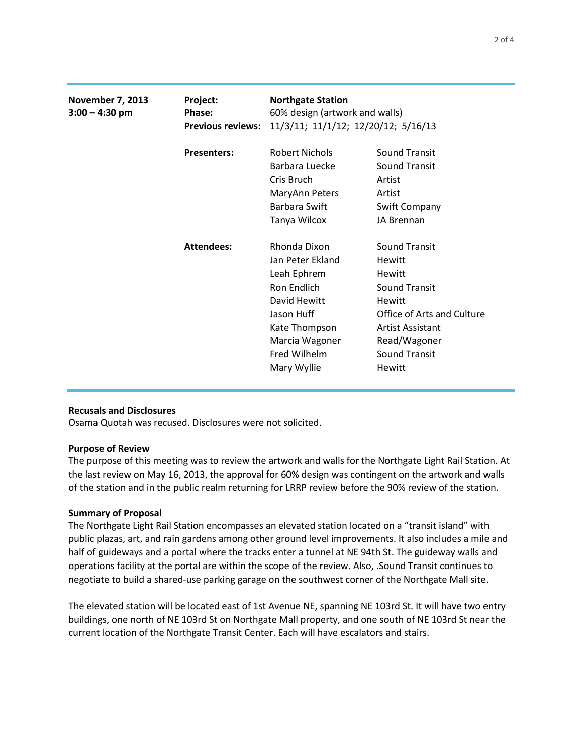| <b>November 7, 2013</b><br>$3:00 - 4:30$ pm | Project:<br>Phase:       | <b>Northgate Station</b><br>60% design (artwork and walls)<br>11/3/11; 11/1/12; 12/20/12; 5/16/13 |                            |
|---------------------------------------------|--------------------------|---------------------------------------------------------------------------------------------------|----------------------------|
|                                             | <b>Previous reviews:</b> |                                                                                                   |                            |
|                                             | <b>Presenters:</b>       | <b>Robert Nichols</b>                                                                             | <b>Sound Transit</b>       |
|                                             |                          | Barbara Luecke                                                                                    | <b>Sound Transit</b>       |
|                                             |                          | Cris Bruch                                                                                        | Artist                     |
|                                             |                          | MaryAnn Peters                                                                                    | Artist                     |
|                                             |                          | Barbara Swift                                                                                     | Swift Company              |
|                                             |                          | Tanya Wilcox                                                                                      | JA Brennan                 |
|                                             | <b>Attendees:</b>        | Rhonda Dixon                                                                                      | <b>Sound Transit</b>       |
|                                             |                          | Jan Peter Ekland                                                                                  | Hewitt                     |
|                                             |                          | Leah Ephrem                                                                                       | Hewitt                     |
|                                             |                          | Ron Endlich                                                                                       | <b>Sound Transit</b>       |
|                                             |                          | David Hewitt                                                                                      | <b>Hewitt</b>              |
|                                             |                          | Jason Huff                                                                                        | Office of Arts and Culture |
|                                             |                          | Kate Thompson                                                                                     | Artist Assistant           |
|                                             |                          | Marcia Wagoner                                                                                    | Read/Wagoner               |
|                                             |                          | Fred Wilhelm                                                                                      | <b>Sound Transit</b>       |
|                                             |                          | Mary Wyllie                                                                                       | <b>Hewitt</b>              |
|                                             |                          |                                                                                                   |                            |

### **Recusals and Disclosures**

Osama Quotah was recused. Disclosures were not solicited.

### **Purpose of Review**

The purpose of this meeting was to review the artwork and walls for the Northgate Light Rail Station. At the last review on May 16, 2013, the approval for 60% design was contingent on the artwork and walls of the station and in the public realm returning for LRRP review before the 90% review of the station.

### **Summary of Proposal**

The Northgate Light Rail Station encompasses an elevated station located on a "transit island" with public plazas, art, and rain gardens among other ground level improvements. It also includes a mile and half of guideways and a portal where the tracks enter a tunnel at NE 94th St. The guideway walls and operations facility at the portal are within the scope of the review. Also, .Sound Transit continues to negotiate to build a shared-use parking garage on the southwest corner of the Northgate Mall site.

The elevated station will be located east of 1st Avenue NE, spanning NE 103rd St. It will have two entry buildings, one north of NE 103rd St on Northgate Mall property, and one south of NE 103rd St near the current location of the Northgate Transit Center. Each will have escalators and stairs.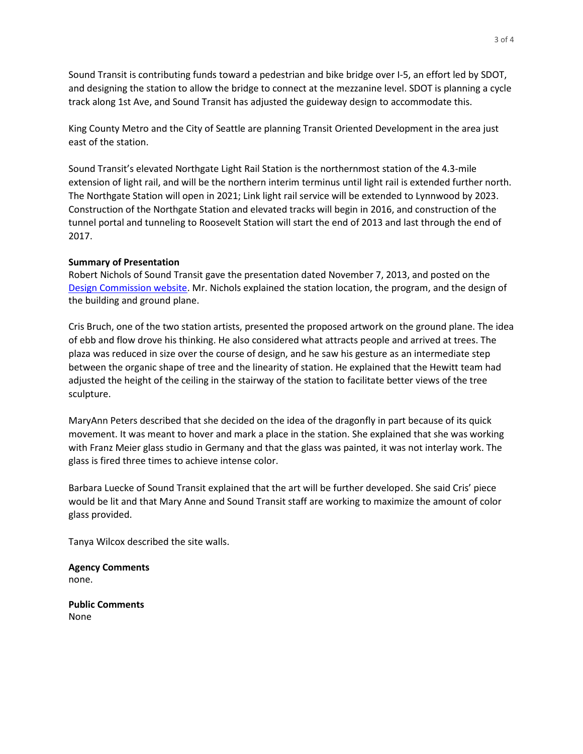Sound Transit is contributing funds toward a pedestrian and bike bridge over I-5, an effort led by SDOT, and designing the station to allow the bridge to connect at the mezzanine level. SDOT is planning a cycle track along 1st Ave, and Sound Transit has adjusted the guideway design to accommodate this.

King County Metro and the City of Seattle are planning Transit Oriented Development in the area just east of the station.

Sound Transit's elevated Northgate Light Rail Station is the northernmost station of the 4.3-mile extension of light rail, and will be the northern interim terminus until light rail is extended further north. The Northgate Station will open in 2021; Link light rail service will be extended to Lynnwood by 2023. Construction of the Northgate Station and elevated tracks will begin in 2016, and construction of the tunnel portal and tunneling to Roosevelt Station will start the end of 2013 and last through the end of 2017.

## **Summary of Presentation**

Robert Nichols of Sound Transit gave the presentation dated November 7, 2013, and posted on the [Design Commission website.](http://www.seattle.gov/dpd/Planning/Design_Commission/Project_Review_Meetings/Minutes/default.asp) Mr. Nichols explained the station location, the program, and the design of the building and ground plane.

Cris Bruch, one of the two station artists, presented the proposed artwork on the ground plane. The idea of ebb and flow drove his thinking. He also considered what attracts people and arrived at trees. The plaza was reduced in size over the course of design, and he saw his gesture as an intermediate step between the organic shape of tree and the linearity of station. He explained that the Hewitt team had adjusted the height of the ceiling in the stairway of the station to facilitate better views of the tree sculpture.

MaryAnn Peters described that she decided on the idea of the dragonfly in part because of its quick movement. It was meant to hover and mark a place in the station. She explained that she was working with Franz Meier glass studio in Germany and that the glass was painted, it was not interlay work. The glass is fired three times to achieve intense color.

Barbara Luecke of Sound Transit explained that the art will be further developed. She said Cris' piece would be lit and that Mary Anne and Sound Transit staff are working to maximize the amount of color glass provided.

Tanya Wilcox described the site walls.

**Agency Comments** none.

**Public Comments**  None